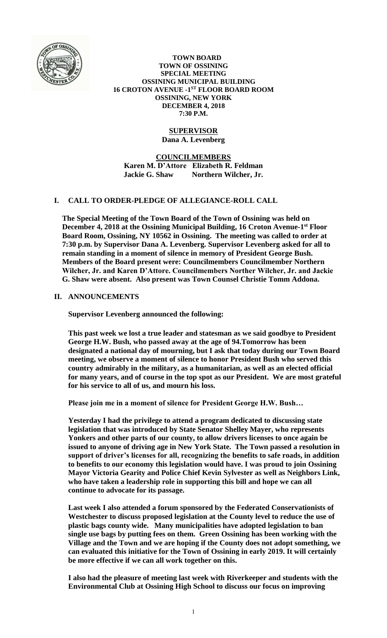

 **TOWN BOARD TOWN OF OSSINING SPECIAL MEETING OSSINING MUNICIPAL BUILDING 16 CROTON AVENUE -1 ST FLOOR BOARD ROOM OSSINING, NEW YORK DECEMBER 4, 2018 7:30 P.M.**

#### **SUPERVISOR Dana A. Levenberg**

**COUNCILMEMBERS Karen M. D'Attore Elizabeth R. Feldman Jackie G. Shaw Northern Wilcher, Jr.**

# **I. CALL TO ORDER-PLEDGE OF ALLEGIANCE-ROLL CALL**

**The Special Meeting of the Town Board of the Town of Ossining was held on December 4, 2018 at the Ossining Municipal Building, 16 Croton Avenue-1 st Floor Board Room, Ossining, NY 10562 in Ossining. The meeting was called to order at 7:30 p.m. by Supervisor Dana A. Levenberg. Supervisor Levenberg asked for all to remain standing in a moment of silence in memory of President George Bush. Members of the Board present were: Councilmembers Councilmember Northern Wilcher, Jr. and Karen D'Attore. Councilmembers Norther Wilcher, Jr. and Jackie G. Shaw were absent. Also present was Town Counsel Christie Tomm Addona.** 

#### **II. ANNOUNCEMENTS**

**Supervisor Levenberg announced the following:**

**This past week we lost a true leader and statesman as we said goodbye to President George H.W. Bush, who passed away at the age of 94.Tomorrow has been designated a national day of mourning, but I ask that today during our Town Board meeting, we observe a moment of silence to honor President Bush who served this country admirably in the military, as a humanitarian, as well as an elected official for many years, and of course in the top spot as our President. We are most grateful for his service to all of us, and mourn his loss.**

**Please join me in a moment of silence for President George H.W. Bush…**

**Yesterday I had the privilege to attend a program dedicated to discussing state legislation that was introduced by State Senator Shelley Mayer, who represents Yonkers and other parts of our county, to allow drivers licenses to once again be issued to anyone of driving age in New York State. The Town passed a resolution in support of driver's licenses for all, recognizing the benefits to safe roads, in addition to benefits to our economy this legislation would have. I was proud to join Ossining Mayor Victoria Gearity and Police Chief Kevin Sylvester as well as Neighbors Link, who have taken a leadership role in supporting this bill and hope we can all continue to advocate for its passage.**

**Last week I also attended a forum sponsored by the Federated Conservationists of Westchester to discuss proposed legislation at the County level to reduce the use of plastic bags county wide. Many municipalities have adopted legislation to ban single use bags by putting fees on them. Green Ossining has been working with the Village and the Town and we are hoping if the County does not adopt something, we can evaluated this initiative for the Town of Ossining in early 2019. It will certainly be more effective if we can all work together on this.**

**I also had the pleasure of meeting last week with Riverkeeper and students with the Environmental Club at Ossining High School to discuss our focus on improving**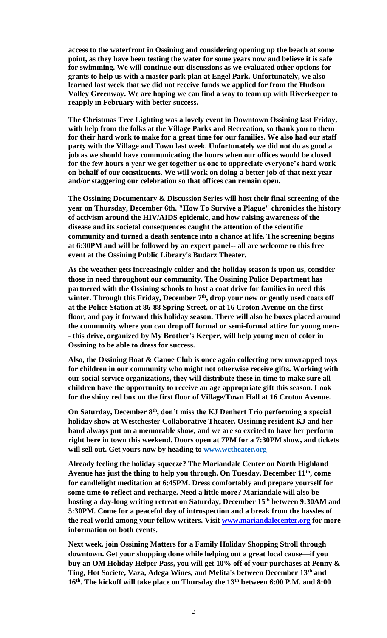**access to the waterfront in Ossining and considering opening up the beach at some point, as they have been testing the water for some years now and believe it is safe for swimming. We will continue our discussions as we evaluated other options for grants to help us with a master park plan at Engel Park. Unfortunately, we also learned last week that we did not receive funds we applied for from the Hudson Valley Greenway. We are hoping we can find a way to team up with Riverkeeper to reapply in February with better success.**

**The Christmas Tree Lighting was a lovely event in Downtown Ossining last Friday, with help from the folks at the Village Parks and Recreation, so thank you to them for their hard work to make for a great time for our families. We also had our staff party with the Village and Town last week. Unfortunately we did not do as good a job as we should have communicating the hours when our offices would be closed for the few hours a year we get together as one to appreciate everyone's hard work on behalf of our constituents. We will work on doing a better job of that next year and/or staggering our celebration so that offices can remain open.** 

**The Ossining Documentary & Discussion Series will host their final screening of the year on Thursday, December 6th. "How To Survive a Plague" chronicles the history of activism around the HIV/AIDS epidemic, and how raising awareness of the disease and its societal consequences caught the attention of the scientific community and turned a death sentence into a chance at life. The screening begins at 6:30PM and will be followed by an expert panel-- all are welcome to this free event at the Ossining Public Library's Budarz Theater.**

**As the weather gets increasingly colder and the holiday season is upon us, consider those in need throughout our community. The Ossining Police Department has partnered with the Ossining schools to host a coat drive for families in need this winter. Through this Friday, December 7th, drop your new or gently used coats off at the Police Station at 86-88 Spring Street, or at 16 Croton Avenue on the first floor, and pay it forward this holiday season. There will also be boxes placed around the community where you can drop off formal or semi-formal attire for young men- - this drive, organized by My Brother's Keeper, will help young men of color in Ossining to be able to dress for success.**

**Also, the Ossining Boat & Canoe Club is once again collecting new unwrapped toys for children in our community who might not otherwise receive gifts. Working with our social service organizations, they will distribute these in time to make sure all children have the opportunity to receive an age appropriate gift this season. Look for the shiny red box on the first floor of Village/Town Hall at 16 Croton Avenue.**

**On Saturday, December 8th, don't miss the KJ Denhert Trio performing a special holiday show at Westchester Collaborative Theater. Ossining resident KJ and her band always put on a memorable show, and we are so excited to have her perform right here in town this weekend. Doors open at 7PM for a 7:30PM show, and tickets will sell out. Get yours now by heading to [www.wctheater.org](http://www.wctheater.org/)**

**Already feeling the holiday squeeze? The Mariandale Center on North Highland Avenue has just the thing to help you through. On Tuesday, December 11th, come for candlelight meditation at 6:45PM. Dress comfortably and prepare yourself for some time to reflect and recharge. Need a little more? Mariandale will also be hosting a day-long writing retreat on Saturday, December 15th between 9:30AM and 5:30PM. Come for a peaceful day of introspection and a break from the hassles of the real world among your fellow writers. Visit [www.mariandalecenter.org](http://www.mariandalecenter.org/) for more information on both events.**

**Next week, join Ossining Matters for a Family Holiday Shopping Stroll through downtown. Get your shopping done while helping out a great local cause—if you buy an OM Holiday Helper Pass, you will get 10% off of your purchases at Penny & Ting, Hot Societe, Vaza, Adega Wines, and Melita's between December 13th and 16th. The kickoff will take place on Thursday the 13th between 6:00 P.M. and 8:00**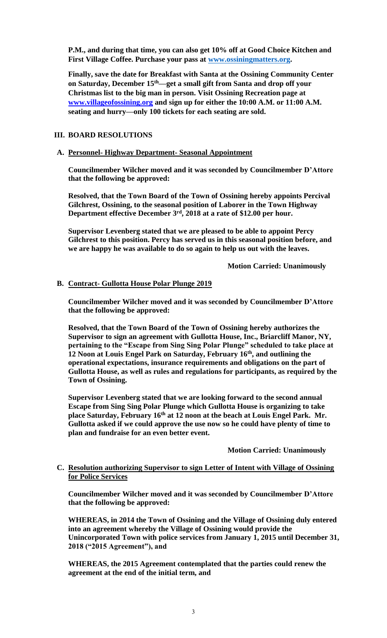**P.M., and during that time, you can also get 10% off at Good Choice Kitchen and First Village Coffee. Purchase your pass at [www.ossiningmatters.org.](http://www.ossiningmatters.org/)**

**Finally, save the date for Breakfast with Santa at the Ossining Community Center on Saturday, December 15th—get a small gift from Santa and drop off your Christmas list to the big man in person. Visit Ossining Recreation page at [www.villageofossining.org](http://www.villageofossining.org/) and sign up for either the 10:00 A.M. or 11:00 A.M. seating and hurry—only 100 tickets for each seating are sold.**

#### **III. BOARD RESOLUTIONS**

#### **A. Personnel- Highway Department- Seasonal Appointment**

**Councilmember Wilcher moved and it was seconded by Councilmember D'Attore that the following be approved:**

**Resolved, that the Town Board of the Town of Ossining hereby appoints Percival Gilchrest, Ossining, to the seasonal position of Laborer in the Town Highway Department effective December 3rd, 2018 at a rate of \$12.00 per hour.**

**Supervisor Levenberg stated that we are pleased to be able to appoint Percy Gilchrest to this position. Percy has served us in this seasonal position before, and we are happy he was available to do so again to help us out with the leaves.** 

**Motion Carried: Unanimously**

#### **B. Contract- Gullotta House Polar Plunge 2019**

**Councilmember Wilcher moved and it was seconded by Councilmember D'Attore that the following be approved:**

**Resolved, that the Town Board of the Town of Ossining hereby authorizes the Supervisor to sign an agreement with Gullotta House, Inc., Briarcliff Manor, NY, pertaining to the "Escape from Sing Sing Polar Plunge" scheduled to take place at 12 Noon at Louis Engel Park on Saturday, February 16th, and outlining the operational expectations, insurance requirements and obligations on the part of Gullotta House, as well as rules and regulations for participants, as required by the Town of Ossining.**

**Supervisor Levenberg stated that we are looking forward to the second annual Escape from Sing Sing Polar Plunge which Gullotta House is organizing to take place Saturday, February 16th at 12 noon at the beach at Louis Engel Park. Mr. Gullotta asked if we could approve the use now so he could have plenty of time to plan and fundraise for an even better event.** 

**Motion Carried: Unanimously**

## **C. Resolution authorizing Supervisor to sign Letter of Intent with Village of Ossining for Police Services**

**Councilmember Wilcher moved and it was seconded by Councilmember D'Attore that the following be approved:**

**WHEREAS, in 2014 the Town of Ossining and the Village of Ossining duly entered into an agreement whereby the Village of Ossining would provide the Unincorporated Town with police services from January 1, 2015 until December 31, 2018 ("2015 Agreement"), and**

**WHEREAS, the 2015 Agreement contemplated that the parties could renew the agreement at the end of the initial term, and**